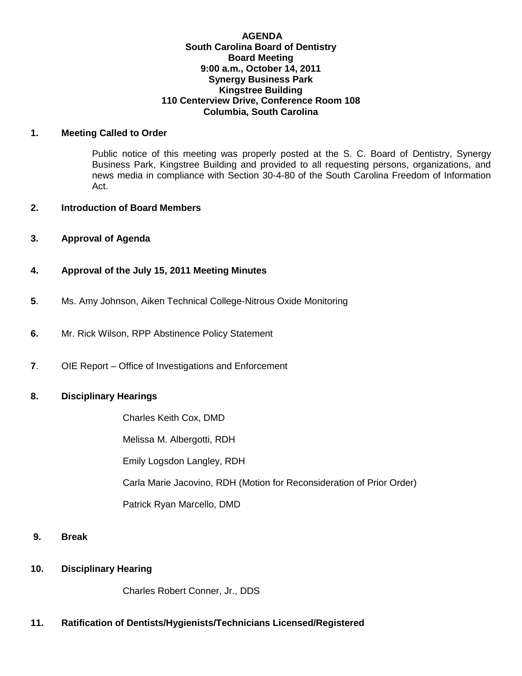#### **AGENDA South Carolina Board of Dentistry Board Meeting 9:00 a.m., October 14, 2011 Synergy Business Park Kingstree Building 110 Centerview Drive, Conference Room 108 Columbia, South Carolina**

#### **1. Meeting Called to Order**

Public notice of this meeting was properly posted at the S. C. Board of Dentistry, Synergy Business Park, Kingstree Building and provided to all requesting persons, organizations, and news media in compliance with Section 30-4-80 of the South Carolina Freedom of Information Act.

### **2. Introduction of Board Members**

**3. Approval of Agenda**

### **4. Approval of the July 15, 2011 Meeting Minutes**

- **5**. Ms. Amy Johnson, Aiken Technical College-Nitrous Oxide Monitoring
- **6.** Mr. Rick Wilson, RPP Abstinence Policy Statement
- **7**. OIE Report Office of Investigations and Enforcement

### **8. Disciplinary Hearings**

Charles Keith Cox, DMD

Melissa M. Albergotti, RDH

Emily Logsdon Langley, RDH

Carla Marie Jacovino, RDH (Motion for Reconsideration of Prior Order)

Patrick Ryan Marcello, DMD

- **9. Break**
- **10. Disciplinary Hearing**

Charles Robert Conner, Jr., DDS

# **11. Ratification of Dentists/Hygienists/Technicians Licensed/Registered**